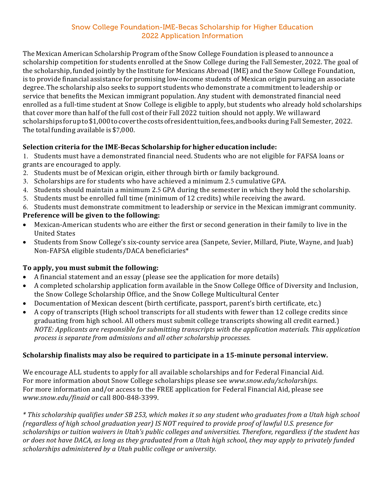## Snow College Foundation-IME-Becas Scholarship for Higher Education 2022 Application Information

The Mexican American Scholarship Program of the Snow College Foundation is pleased to announce a scholarship competition for students enrolled at the Snow College during the Fall Semester, 2022. The goal of the scholarship, funded jointly by the Institute for Mexicans Abroad (IME) and the Snow College Foundation, is to provide financial assistance for promising low-income students of Mexican origin pursuing an associate degree. The scholarship also seeks to support students who demonstrate a commitment to leadership or service that benefits the Mexican immigrant population. Any student with demonstrated financial need enrolled as a full-time student at Snow College is eligible to apply, but students who already hold scholarships that cover more than half of the full cost of their Fall 2022 tuition should not apply. We will award scholarships for up to \$1,000 to cover the costs of resident tuition, fees, and books during Fall Semester, 2022. The total funding available is  $$7,000$ .

# **Selection criteria for the IME-Becas Scholarship forhigher education include:**

1. Students must have a demonstrated financial need. Students who are not eligible for FAFSA loans or grants are encouraged to apply.

- 2. Students must be of Mexican origin, either through birth or family background.
- 3. Scholarships are for students who have achieved a minimum 2.5 cumulative GPA.
- 4. Students should maintain a minimum 2.5 GPA during the semester in which they hold the scholarship.
- 5. Students must be enrolled full time (minimum of 12 credits) while receiving the award.

6. Students must demonstrate commitment to leadership or service in the Mexican immigrant community. **Preference** will be given to the following:

- Mexican-American students who are either the first or second generation in their family to live in the United States
- Students from Snow College's six-county service area (Sanpete, Sevier, Millard, Piute, Wayne, and Juab) Non-FAFSA eligible students/DACA beneficiaries\*

# To apply, you must submit the following:

- A financial statement and an essay (please see the application for more details)
- A completed scholarship application form available in the Snow College Office of Diversity and Inclusion, the Snow College Scholarship Office, and the Snow College Multicultural Center
- Documentation of Mexican descent (birth certificate, passport, parent's birth certificate, etc.)
- A copy of transcripts (High school transcripts for all students with fewer than 12 college credits since graduating from high school. All others must submit college transcripts showing all credit earned.) *NOTE:* Applicants are responsible for submitting transcripts with the application materials. This application *process is separate from admissions and all other scholarship processes.*

# **Scholarship finalists may also be required to participate in a 15-minute personal interview.**

We encourage ALL students to apply for all available scholarships and for Federal Financial Aid. For more information about Snow College scholarships please see *www.snow.edu/scholarships*. For more information and/or access to the FREE application for Federal Financial Aid, please see *www.snow.edu/finaid* or call 800-848-3399. 

\* This scholarship qualifies under SB 253, which makes it so any student who graduates from a Utah high school *(regardless of high school graduation year) IS NOT required to provide proof of lawful U.S. presence for scholarships or tuition waivers in Utah's public colleges and universities. Therefore, regardless if the student has* or does not have DACA, as long as they graduated from a Utah high school, they may apply to privately funded *scholarships administered by a Utah public college or university.*